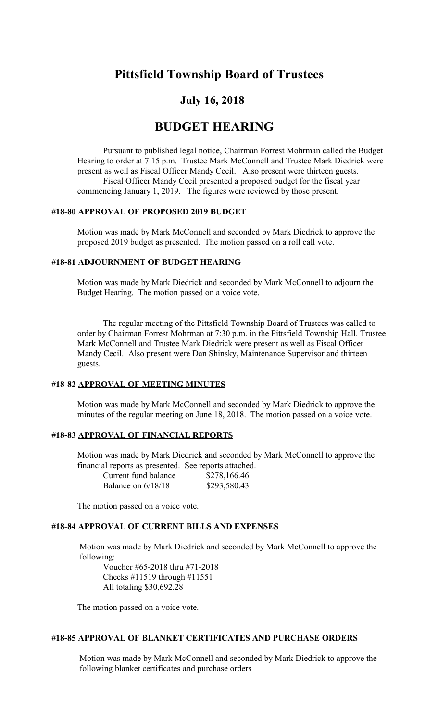# **Pittsfield Township Board of Trustees**

## **July 16, 2018**

## **BUDGET HEARING**

Pursuant to published legal notice, Chairman Forrest Mohrman called the Budget Hearing to order at 7:15 p.m. Trustee Mark McConnell and Trustee Mark Diedrick were present as well as Fiscal Officer Mandy Cecil. Also present were thirteen guests. Fiscal Officer Mandy Cecil presented a proposed budget for the fiscal year commencing January 1, 2019. The figures were reviewed by those present.

#### **#18-80 APPROVAL OF PROPOSED 2019 BUDGET**

Motion was made by Mark McConnell and seconded by Mark Diedrick to approve the proposed 2019 budget as presented. The motion passed on a roll call vote.

#### **#18-81 ADJOURNMENT OF BUDGET HEARING**

Motion was made by Mark Diedrick and seconded by Mark McConnell to adjourn the Budget Hearing. The motion passed on a voice vote.

The regular meeting of the Pittsfield Township Board of Trustees was called to order by Chairman Forrest Mohrman at 7:30 p.m. in the Pittsfield Township Hall. Trustee Mark McConnell and Trustee Mark Diedrick were present as well as Fiscal Officer Mandy Cecil. Also present were Dan Shinsky, Maintenance Supervisor and thirteen guests.

#### **#18-82 APPROVAL OF MEETING MINUTES**

Motion was made by Mark McConnell and seconded by Mark Diedrick to approve the minutes of the regular meeting on June 18, 2018. The motion passed on a voice vote.

## **#18-83 APPROVAL OF FINANCIAL REPORTS**

Motion was made by Mark Diedrick and seconded by Mark McConnell to approve the financial reports as presented. See reports attached.  $Current$  fund balance

| Current fund balance | QZ/0,100.40  |
|----------------------|--------------|
| Balance on $6/18/18$ | \$293,580.43 |

The motion passed on a voice vote.

#### **#18-84 APPROVAL OF CURRENT BILLS AND EXPENSES**

Motion was made by Mark Diedrick and seconded by Mark McConnell to approve the following:

Voucher #65-2018 thru #71-2018 Checks #11519 through #11551 All totaling \$30,692.28

The motion passed on a voice vote.

## **#18-85 APPROVAL OF BLANKET CERTIFICATES AND PURCHASE ORDERS**

Motion was made by Mark McConnell and seconded by Mark Diedrick to approve the following blanket certificates and purchase orders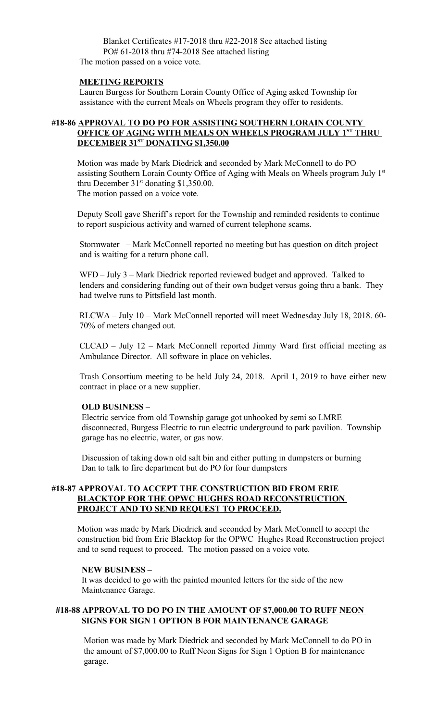Blanket Certificates #17-2018 thru #22-2018 See attached listing PO# 61-2018 thru #74-2018 See attached listing The motion passed on a voice vote.

#### **MEETING REPORTS**

 Lauren Burgess for Southern Lorain County Office of Aging asked Township for assistance with the current Meals on Wheels program they offer to residents.

## **#18-86 APPROVAL TO DO PO FOR ASSISTING SOUTHERN LORAIN COUNTY OFFICE OF AGING WITH MEALS ON WHEELS PROGRAM JULY 1ST THRU DECEMBER 31ST DONATING \$1,350.00**

Motion was made by Mark Diedrick and seconded by Mark McConnell to do PO assisting Southern Lorain County Office of Aging with Meals on Wheels program July 1<sup>st</sup> thru December  $31<sup>st</sup>$  donating \$1,350.00. The motion passed on a voice vote.

Deputy Scoll gave Sheriff's report for the Township and reminded residents to continue to report suspicious activity and warned of current telephone scams.

Stormwater – Mark McConnell reported no meeting but has question on ditch project and is waiting for a return phone call.

WFD – July 3 – Mark Diedrick reported reviewed budget and approved. Talked to lenders and considering funding out of their own budget versus going thru a bank. They had twelve runs to Pittsfield last month.

RLCWA – July 10 – Mark McConnell reported will meet Wednesday July 18, 2018. 60- 70% of meters changed out.

CLCAD – July 12 – Mark McConnell reported Jimmy Ward first official meeting as Ambulance Director. All software in place on vehicles.

Trash Consortium meeting to be held July 24, 2018. April 1, 2019 to have either new contract in place or a new supplier.

#### **OLD BUSINESS** –

Electric service from old Township garage got unhooked by semi so LMRE disconnected, Burgess Electric to run electric underground to park pavilion. Township garage has no electric, water, or gas now.

 Discussion of taking down old salt bin and either putting in dumpsters or burning Dan to talk to fire department but do PO for four dumpsters

## **#18-87 APPROVAL TO ACCEPT THE CONSTRUCTION BID FROM ERIE BLACKTOP FOR THE OPWC HUGHES ROAD RECONSTRUCTION PROJECT AND TO SEND REQUEST TO PROCEED.**

Motion was made by Mark Diedrick and seconded by Mark McConnell to accept the construction bid from Erie Blacktop for the OPWC Hughes Road Reconstruction project and to send request to proceed. The motion passed on a voice vote.

#### **NEW BUSINESS –**

 It was decided to go with the painted mounted letters for the side of the new Maintenance Garage.

#### **#18-88 APPROVAL TO DO PO IN THE AMOUNT OF \$7,000.00 TO RUFF NEON SIGNS FOR SIGN 1 OPTION B FOR MAINTENANCE GARAGE**

 Motion was made by Mark Diedrick and seconded by Mark McConnell to do PO in the amount of \$7,000.00 to Ruff Neon Signs for Sign 1 Option B for maintenance garage.